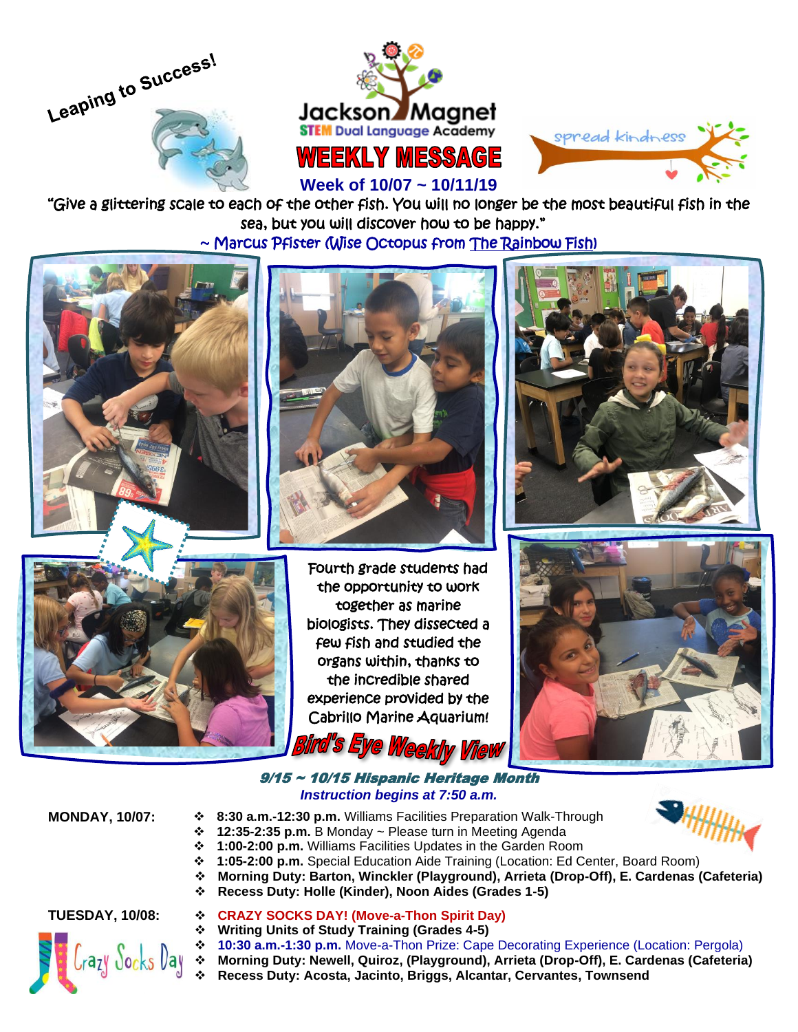





# **Week of 10/07 ~ 10/11/19**

"Give a glittering scale to each of the other fish. You will no longer be the most beautiful fish in the sea, but you will discover how to be happy."

~ Marcus Pfister (Wise Octopus from The Rainbow Fish)









 biologists. They dissected a Fourth grade students had the opportunity to work together as marine few fish and studied the organs within, thanks to the incredible shared experience provided by the Cabrillo Marine Aquarium!



## 9/15 ~ 10/15 Hispanic Heritage Month *Instruction begins at 7:50 a.m.*

- **MONDAY, 10/07:** ❖ **8:30 a.m.-12:30 p.m.** Williams Facilities Preparation Walk-Through<br>❖ **12:35-2:35 p.m.** B Monday ~ Please turn in Meeting Agenda
	- ❖ **12:35-2:35 p.m.** B Monday ~ Please turn in Meeting Agenda
	- ❖ **1:00-2:00 p.m.** Williams Facilities Updates in the Garden Room
	- ❖ **1:05-2:00 p.m.** Special Education Aide Training (Location: Ed Center, Board Room)

**Weekly View** 

- ❖ **Morning Duty: Barton, Winckler (Playground), Arrieta (Drop-Off), E. Cardenas (Cafeteria)**
- ❖ **Recess Duty: Holle (Kinder), Noon Aides (Grades 1-5)**



### **TUESDAY, 10/08:** ❖ **CRAZY SOCKS DAY! (Move-a-Thon Spirit Day)**

- 
- ❖ **Writing Units of Study Training (Grades 4-5)** ❖ **10:30 a.m.-1:30 p.m.** Move-a-Thon Prize: Cape Decorating Experience (Location: Pergola)
- ❖ **Morning Duty: Newell, Quiroz, (Playground), Arrieta (Drop-Off), E. Cardenas (Cafeteria)**
- ❖ **Recess Duty: Acosta, Jacinto, Briggs, Alcantar, Cervantes, Townsend**